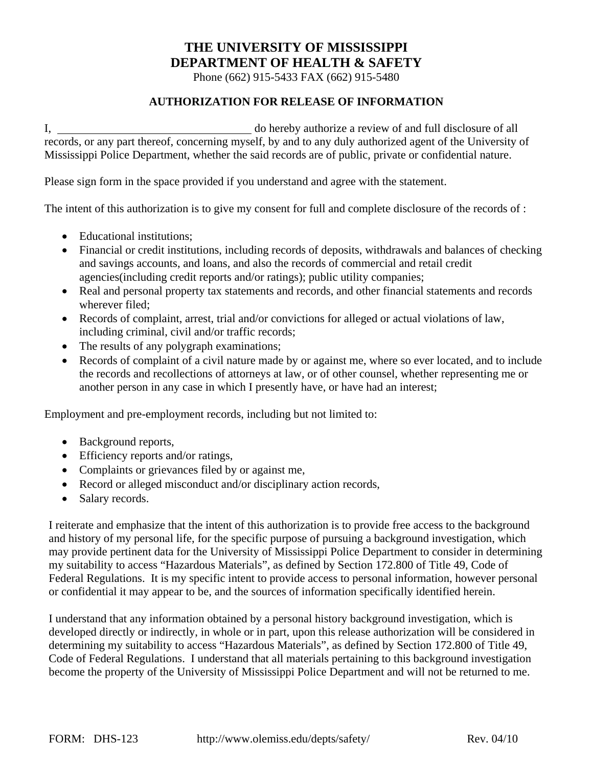## **THE UNIVERSITY OF MISSISSIPPI DEPARTMENT OF HEALTH & SAFETY**

Phone (662) 915-5433 FAX (662) 915-5480

## **AUTHORIZATION FOR RELEASE OF INFORMATION**

I, do hereby authorize a review of and full disclosure of all records, or any part thereof, concerning myself, by and to any duly authorized agent of the University of Mississippi Police Department, whether the said records are of public, private or confidential nature.

Please sign form in the space provided if you understand and agree with the statement.

The intent of this authorization is to give my consent for full and complete disclosure of the records of :

- Educational institutions:
- Financial or credit institutions, including records of deposits, withdrawals and balances of checking and savings accounts, and loans, and also the records of commercial and retail credit agencies(including credit reports and/or ratings); public utility companies;
- Real and personal property tax statements and records, and other financial statements and records wherever filed;
- Records of complaint, arrest, trial and/or convictions for alleged or actual violations of law, including criminal, civil and/or traffic records;
- The results of any polygraph examinations;
- Records of complaint of a civil nature made by or against me, where so ever located, and to include the records and recollections of attorneys at law, or of other counsel, whether representing me or another person in any case in which I presently have, or have had an interest;

Employment and pre-employment records, including but not limited to:

- Background reports,
- Efficiency reports and/or ratings,
- Complaints or grievances filed by or against me,
- Record or alleged misconduct and/or disciplinary action records,
- Salary records.

I reiterate and emphasize that the intent of this authorization is to provide free access to the background and history of my personal life, for the specific purpose of pursuing a background investigation, which may provide pertinent data for the University of Mississippi Police Department to consider in determining my suitability to access "Hazardous Materials", as defined by Section 172.800 of Title 49, Code of Federal Regulations. It is my specific intent to provide access to personal information, however personal or confidential it may appear to be, and the sources of information specifically identified herein.

I understand that any information obtained by a personal history background investigation, which is developed directly or indirectly, in whole or in part, upon this release authorization will be considered in determining my suitability to access "Hazardous Materials", as defined by Section 172.800 of Title 49, Code of Federal Regulations. I understand that all materials pertaining to this background investigation become the property of the University of Mississippi Police Department and will not be returned to me.